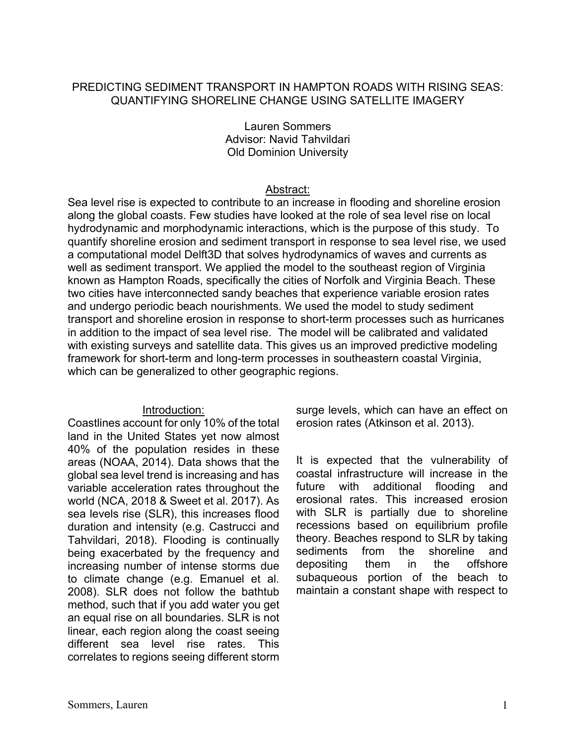## PREDICTING SEDIMENT TRANSPORT IN HAMPTON ROADS WITH RISING SEAS: QUANTIFYING SHORELINE CHANGE USING SATELLITE IMAGERY

### Lauren Sommers Advisor: Navid Tahvildari Old Dominion University

## Abstract:

Sea level rise is expected to contribute to an increase in flooding and shoreline erosion along the global coasts. Few studies have looked at the role of sea level rise on local hydrodynamic and morphodynamic interactions, which is the purpose of this study. To quantify shoreline erosion and sediment transport in response to sea level rise, we used a computational model Delft3D that solves hydrodynamics of waves and currents as well as sediment transport. We applied the model to the southeast region of Virginia known as Hampton Roads, specifically the cities of Norfolk and Virginia Beach. These two cities have interconnected sandy beaches that experience variable erosion rates and undergo periodic beach nourishments. We used the model to study sediment transport and shoreline erosion in response to short-term processes such as hurricanes in addition to the impact of sea level rise. The model will be calibrated and validated with existing surveys and satellite data. This gives us an improved predictive modeling framework for short-term and long-term processes in southeastern coastal Virginia, which can be generalized to other geographic regions.

## Introduction:

Coastlines account for only 10% of the total land in the United States yet now almost 40% of the population resides in these areas (NOAA, 2014). Data shows that the global sea level trend is increasing and has variable acceleration rates throughout the world (NCA, 2018 & Sweet et al. 2017). As sea levels rise (SLR), this increases flood duration and intensity (e.g. Castrucci and Tahvildari, 2018). Flooding is continually being exacerbated by the frequency and increasing number of intense storms due to climate change (e.g. Emanuel et al. 2008). SLR does not follow the bathtub method, such that if you add water you get an equal rise on all boundaries. SLR is not linear, each region along the coast seeing different sea level rise rates. This correlates to regions seeing different storm

surge levels, which can have an effect on erosion rates (Atkinson et al. 2013).

It is expected that the vulnerability of coastal infrastructure will increase in the future with additional flooding and erosional rates. This increased erosion with SLR is partially due to shoreline recessions based on equilibrium profile theory. Beaches respond to SLR by taking sediments from the shoreline and depositing them in the offshore subaqueous portion of the beach to maintain a constant shape with respect to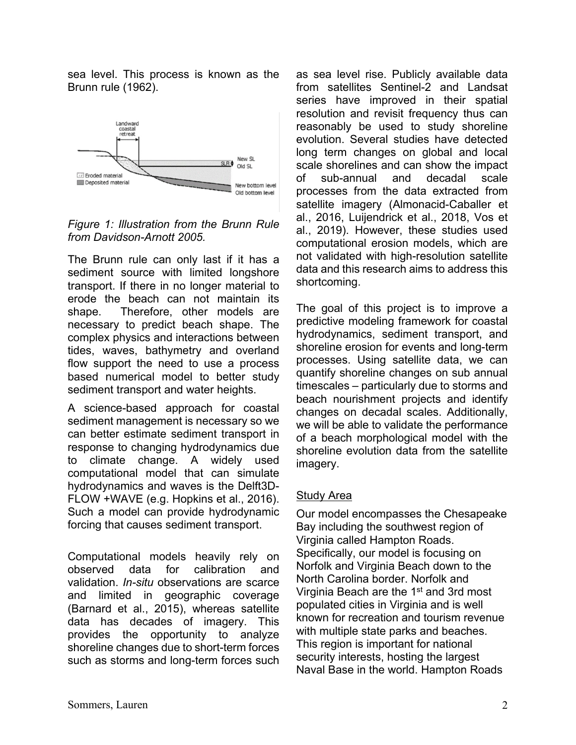sea level. This process is known as the Brunn rule (1962).



*Figure 1: Illustration from the Brunn Rule from Davidson-Arnott 2005.*

The Brunn rule can only last if it has a sediment source with limited longshore transport. If there in no longer material to erode the beach can not maintain its shape. Therefore, other models are necessary to predict beach shape. The complex physics and interactions between tides, waves, bathymetry and overland flow support the need to use a process based numerical model to better study sediment transport and water heights.

A science-based approach for coastal sediment management is necessary so we can better estimate sediment transport in response to changing hydrodynamics due to climate change. A widely used computational model that can simulate hydrodynamics and waves is the Delft3D-FLOW +WAVE (e.g. Hopkins et al., 2016). Such a model can provide hydrodynamic forcing that causes sediment transport.

Computational models heavily rely on observed data for calibration and validation. *In-situ* observations are scarce and limited in geographic coverage (Barnard et al., 2015), whereas satellite data has decades of imagery. This provides the opportunity to analyze shoreline changes due to short-term forces such as storms and long-term forces such as sea level rise. Publicly available data from satellites Sentinel-2 and Landsat series have improved in their spatial resolution and revisit frequency thus can reasonably be used to study shoreline evolution. Several studies have detected long term changes on global and local scale shorelines and can show the impact of sub-annual and decadal scale processes from the data extracted from satellite imagery (Almonacid-Caballer et al., 2016, Luijendrick et al., 2018, Vos et al., 2019). However, these studies used computational erosion models, which are not validated with high-resolution satellite data and this research aims to address this shortcoming.

The goal of this project is to improve a predictive modeling framework for coastal hydrodynamics, sediment transport, and shoreline erosion for events and long-term processes. Using satellite data, we can quantify shoreline changes on sub annual timescales – particularly due to storms and beach nourishment projects and identify changes on decadal scales. Additionally, we will be able to validate the performance of a beach morphological model with the shoreline evolution data from the satellite imagery.

# Study Area

Our model encompasses the Chesapeake Bay including the southwest region of Virginia called Hampton Roads. Specifically, our model is focusing on Norfolk and Virginia Beach down to the North Carolina border. Norfolk and Virginia Beach are the 1<sup>st</sup> and 3rd most populated cities in Virginia and is well known for recreation and tourism revenue with multiple state parks and beaches. This region is important for national security interests, hosting the largest Naval Base in the world. Hampton Roads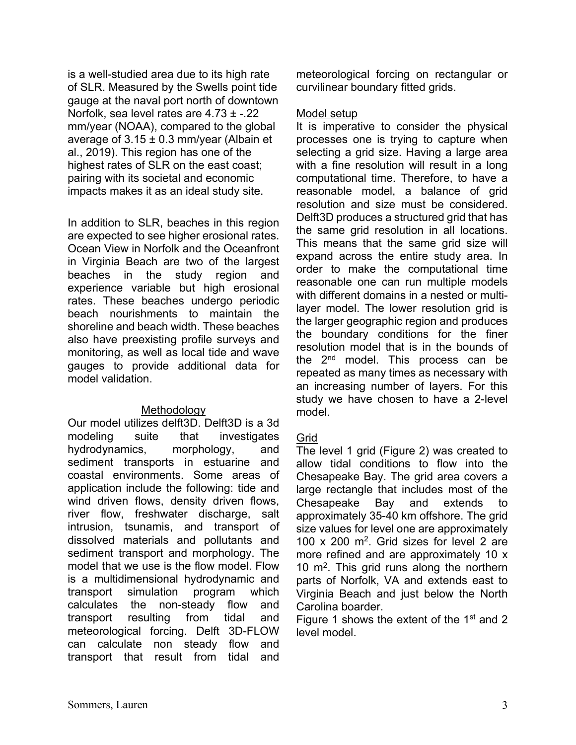is a well-studied area due to its high rate of SLR. Measured by the Swells point tide gauge at the naval port north of downtown Norfolk, sea level rates are 4.73 ± -.22 mm/year (NOAA), compared to the global average of  $3.15 \pm 0.3$  mm/year (Albain et al., 2019). This region has one of the highest rates of SLR on the east coast; pairing with its societal and economic impacts makes it as an ideal study site.

In addition to SLR, beaches in this region are expected to see higher erosional rates. Ocean View in Norfolk and the Oceanfront in Virginia Beach are two of the largest beaches in the study region and experience variable but high erosional rates. These beaches undergo periodic beach nourishments to maintain the shoreline and beach width. These beaches also have preexisting profile surveys and monitoring, as well as local tide and wave gauges to provide additional data for model validation.

### **Methodology**

Our model utilizes delft3D. Delft3D is a 3d modeling suite that investigates hydrodynamics, morphology, and sediment transports in estuarine and coastal environments. Some areas of application include the following: tide and wind driven flows, density driven flows, river flow, freshwater discharge, salt intrusion, tsunamis, and transport of dissolved materials and pollutants and sediment transport and morphology. The model that we use is the flow model. Flow is a multidimensional hydrodynamic and transport simulation program which calculates the non-steady flow and transport resulting from tidal and meteorological forcing. Delft 3D-FLOW can calculate non steady flow and transport that result from tidal and

meteorological forcing on rectangular or curvilinear boundary fitted grids.

### Model setup

It is imperative to consider the physical processes one is trying to capture when selecting a grid size. Having a large area with a fine resolution will result in a long computational time. Therefore, to have a reasonable model, a balance of grid resolution and size must be considered. Delft3D produces a structured grid that has the same grid resolution in all locations. This means that the same grid size will expand across the entire study area. In order to make the computational time reasonable one can run multiple models with different domains in a nested or multilayer model. The lower resolution grid is the larger geographic region and produces the boundary conditions for the finer resolution model that is in the bounds of the 2<sup>nd</sup> model. This process can be repeated as many times as necessary with an increasing number of layers. For this study we have chosen to have a 2-level model.

## Grid

The level 1 grid (Figure 2) was created to allow tidal conditions to flow into the Chesapeake Bay. The grid area covers a large rectangle that includes most of the Chesapeake Bay and extends to approximately 35-40 km offshore. The grid size values for level one are approximately 100 x 200  $m^2$ . Grid sizes for level 2 are more refined and are approximately 10 x 10  $\mathrm{m}^2$ . This grid runs along the northern parts of Norfolk, VA and extends east to Virginia Beach and just below the North Carolina boarder.

Figure 1 shows the extent of the  $1<sup>st</sup>$  and 2 level model.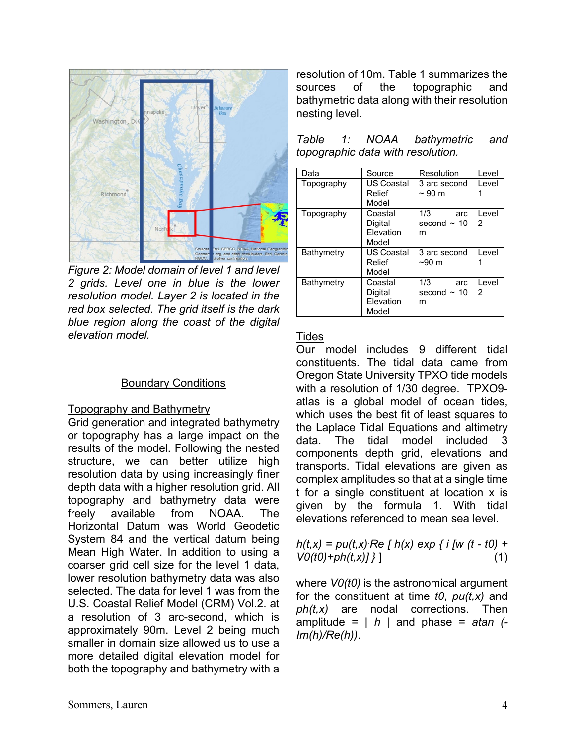

*Figure 2: Model domain of level 1 and level 2 grids. Level one in blue is the lower resolution model. Layer 2 is located in the red box selected. The grid itself is the dark blue region along the coast of the digital elevation model.*

### Boundary Conditions

#### Topography and Bathymetry

Grid generation and integrated bathymetry or topography has a large impact on the results of the model. Following the nested structure, we can better utilize high resolution data by using increasingly finer depth data with a higher resolution grid. All topography and bathymetry data were freely available from NOAA. The Horizontal Datum was World Geodetic System 84 and the vertical datum being Mean High Water. In addition to using a coarser grid cell size for the level 1 data, lower resolution bathymetry data was also selected. The data for level 1 was from the U.S. Coastal Relief Model (CRM) Vol.2. at a resolution of 3 arc-second, which is approximately 90m. Level 2 being much smaller in domain size allowed us to use a more detailed digital elevation model for both the topography and bathymetry with a resolution of 10m. Table 1 summarizes the sources of the topographic and bathymetric data along with their resolution nesting level.

| Data       | Source                                   | Resolution                          | Level       |
|------------|------------------------------------------|-------------------------------------|-------------|
| Topography | <b>US Coastal</b><br>Relief<br>Model     | 3 arc second<br>$\sim$ 90 m         | I evel      |
| Topography | Coastal<br>Digital<br>Flevation<br>Model | 1/3<br>arc<br>second $\sim$ 10<br>m | I evel<br>2 |
| Bathymetry | <b>US Coastal</b><br>Relief<br>Model     | 3 arc second<br>$~1$ –90 m          | I evel      |
| Bathymetry | Coastal<br>Digital<br>Elevation<br>Model | 1/3<br>arc<br>second $\sim$ 10<br>m | I evel<br>2 |

| Table                             | $\mathcal{I}$ : | NOAA | bathymetric | and |
|-----------------------------------|-----------------|------|-------------|-----|
| topographic data with resolution. |                 |      |             |     |

### Tides

Our model includes 9 different tidal constituents. The tidal data came from Oregon State University TPXO tide models with a resolution of 1/30 degree. TPXO9 atlas is a global model of ocean tides, which uses the best fit of least squares to the Laplace Tidal Equations and altimetry data. The tidal model included 3 components depth grid, elevations and transports. Tidal elevations are given as complex amplitudes so that at a single time t for a single constituent at location x is given by the formula 1. With tidal elevations referenced to mean sea level.

$$
h(t,x) = pu(t,x) \text{ Re } [h(x) \exp \{ i [w (t - t0) + V0(t0) + ph(t,x)] \} ]
$$
 (1)

where *V0(t0)* is the astronomical argument for the constituent at time *t0*, *pu(t,x)* and *ph(t,x)* are nodal corrections. Then amplitude = *| h |* and phase = *atan (- Im(h)/Re(h))*.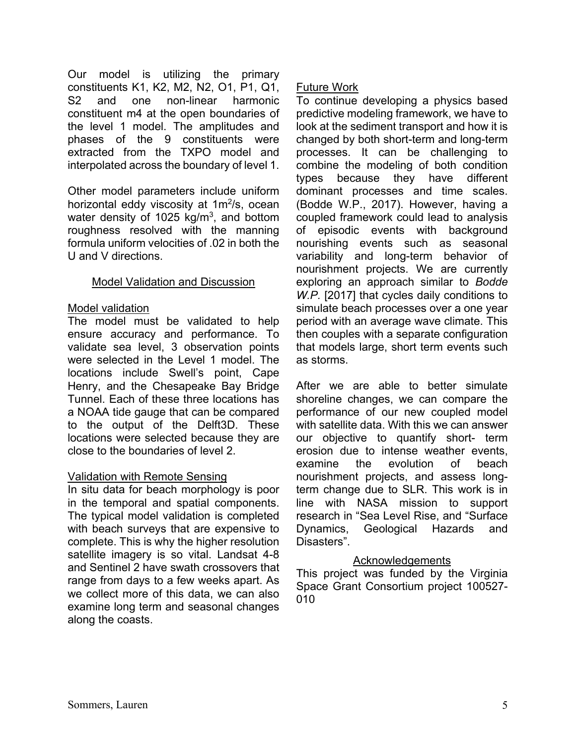Our model is utilizing the primary constituents K1, K2, M2, N2, O1, P1, Q1, S2 and one non-linear harmonic constituent m4 at the open boundaries of the level 1 model. The amplitudes and phases of the 9 constituents were extracted from the TXPO model and interpolated across the boundary of level 1.

Other model parameters include uniform horizontal eddy viscosity at  $1m^2/s$ , ocean water density of 1025 kg/m<sup>3</sup>, and bottom roughness resolved with the manning formula uniform velocities of .02 in both the U and V directions.

## Model Validation and Discussion

## Model validation

The model must be validated to help ensure accuracy and performance. To validate sea level, 3 observation points were selected in the Level 1 model. The locations include Swell's point, Cape Henry, and the Chesapeake Bay Bridge Tunnel. Each of these three locations has a NOAA tide gauge that can be compared to the output of the Delft3D. These locations were selected because they are close to the boundaries of level 2.

## Validation with Remote Sensing

In situ data for beach morphology is poor in the temporal and spatial components. The typical model validation is completed with beach surveys that are expensive to complete. This is why the higher resolution satellite imagery is so vital. Landsat 4-8 and Sentinel 2 have swath crossovers that range from days to a few weeks apart. As we collect more of this data, we can also examine long term and seasonal changes along the coasts.

# Future Work

To continue developing a physics based predictive modeling framework, we have to look at the sediment transport and how it is changed by both short-term and long-term processes. It can be challenging to combine the modeling of both condition types because they have different dominant processes and time scales. (Bodde W.P., 2017). However, having a coupled framework could lead to analysis of episodic events with background nourishing events such as seasonal variability and long-term behavior of nourishment projects. We are currently exploring an approach similar to *Bodde W.P.* [2017] that cycles daily conditions to simulate beach processes over a one year period with an average wave climate. This then couples with a separate configuration that models large, short term events such as storms.

After we are able to better simulate shoreline changes, we can compare the performance of our new coupled model with satellite data. With this we can answer our objective to quantify short- term erosion due to intense weather events, examine the evolution of beach nourishment projects, and assess longterm change due to SLR. This work is in line with NASA mission to support research in "Sea Level Rise, and "Surface Dynamics, Geological Hazards and Disasters".

# **Acknowledgements**

This project was funded by the Virginia Space Grant Consortium project 100527- 010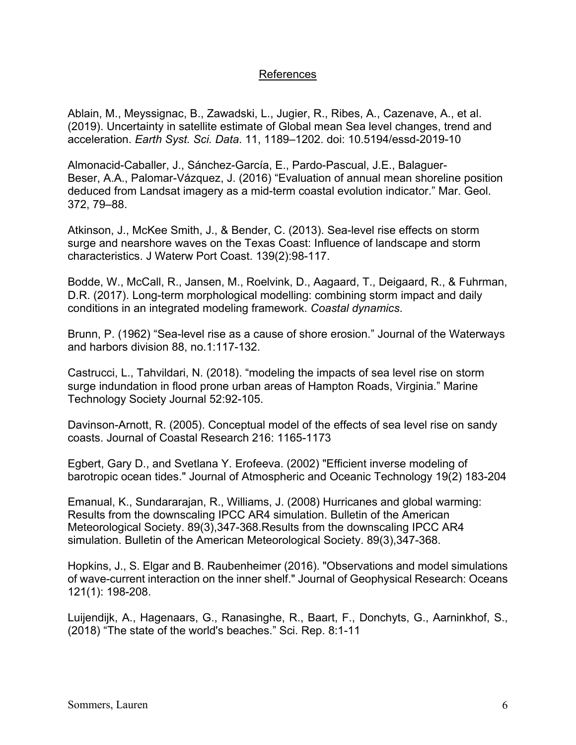## References

Ablain, M., Meyssignac, B., Zawadski, L., Jugier, R., Ribes, A., Cazenave, A., et al. (2019). Uncertainty in satellite estimate of Global mean Sea level changes, trend and acceleration. *Earth Syst. Sci. Data*. 11, 1189–1202. doi: 10.5194/essd-2019-10

Almonacid-Caballer, J., Sánchez-García, E., Pardo-Pascual, J.E., Balaguer-Beser, A.A., Palomar-Vázquez, J. (2016) "Evaluation of annual mean shoreline position deduced from Landsat imagery as a mid-term coastal evolution indicator." Mar. Geol. 372, 79–88.

Atkinson, J., McKee Smith, J., & Bender, C. (2013). Sea-level rise effects on storm surge and nearshore waves on the Texas Coast: Influence of landscape and storm characteristics. J Waterw Port Coast. 139(2):98-117.

Bodde, W., McCall, R., Jansen, M., Roelvink, D., Aagaard, T., Deigaard, R., & Fuhrman, D.R. (2017). Long-term morphological modelling: combining storm impact and daily conditions in an integrated modeling framework. *Coastal dynamics*.

Brunn, P. (1962) "Sea-level rise as a cause of shore erosion." Journal of the Waterways and harbors division 88, no.1:117-132.

Castrucci, L., Tahvildari, N. (2018). "modeling the impacts of sea level rise on storm surge indundation in flood prone urban areas of Hampton Roads, Virginia." Marine Technology Society Journal 52:92-105.

Davinson-Arnott, R. (2005). Conceptual model of the effects of sea level rise on sandy coasts. Journal of Coastal Research 216: 1165-1173

Egbert, Gary D., and Svetlana Y. Erofeeva. (2002) "Efficient inverse modeling of barotropic ocean tides." Journal of Atmospheric and Oceanic Technology 19(2) 183-204

Emanual, K., Sundararajan, R., Williams, J. (2008) Hurricanes and global warming: Results from the downscaling IPCC AR4 simulation. Bulletin of the American Meteorological Society. 89(3),347-368.Results from the downscaling IPCC AR4 simulation. Bulletin of the American Meteorological Society. 89(3),347-368.

Hopkins, J., S. Elgar and B. Raubenheimer (2016). "Observations and model simulations of wave-current interaction on the inner shelf." Journal of Geophysical Research: Oceans 121(1): 198-208.

Luijendijk, A., Hagenaars, G., Ranasinghe, R., Baart, F., Donchyts, G., Aarninkhof, S., (2018) "The state of the world's beaches." Sci. Rep. 8:1-11